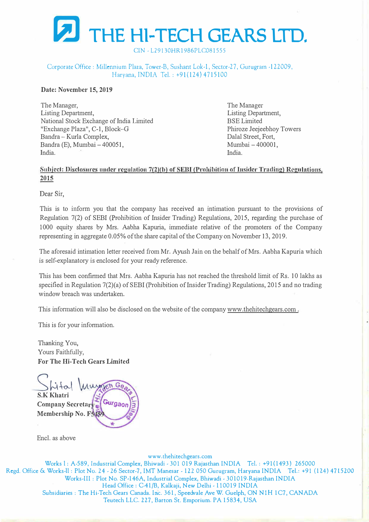

CIN -L29130HR1986PLC081555

Corporate Office: Millennium Plaza, Tower-B, Sushant Lok-1, Sector-27, Gurugram -122009, Haryana, INDIA Tel.: +91(124) 4715100

#### **Date: November 15, 2019**

The Manager, Listing Department, National Stock Exchange of India Limited "Exchange Plaza", C-1, Block-G Bandra - Kurla Complex, Bandra (E), Mumbai - 400051, India.

The Manager Listing Department, BSE Limited Phiroze Jeejeebhoy Towers Dalal Street, Fort, Mumbai-400001, India.

## Subject: **Disclosures under regulation** 7(2)(b) of **EBJ (Prohibition** of **Tnsider Trading) Regulations, 2015**

Dear Sir.

This is to inform you that the company has received an intimation pursuant to the provisions of Regulation 7(2) of SEBI (Prohibition of Insider Trading) Regulations, 2015, regarding the purchase of 1000 equity shares by Mrs. Aabha Kapuria, immediate relative of the promoters of the Company representing in aggregate 0.05% of the share capital of the Company on November 13, 2019.

The aforesaid intimation letter received from Mr. Ayush Jain on the behalf of Mrs. Aabha Kapuria which is self-explanatory is enclosed for your ready reference.

This has been confirmed that Mrs. Aabha Kapuria has not reached the threshold limit of Rs. 10 lakhs as specified in Regulation 7(2)(a) of SEBI (Prohibition of Insider Trading) Regulations, 2015 and no trading window breach was undertaken.

This information will also be disclosed on the website of the company www.thehitechgears.com.

This is for your information.

Thanking You, Yours Faithfully, **For The Hi-Tech Gears Limited** 

*\_s��\ VA*  **S.KKhatri** Gurgao Company Secretary **Membership No. F5** 

Encl. as above

www.thehitechgears.com

Works 1: A-589, Industrial Complex, Bhiwadi - 301 019 Rajasthan INDIA Tel.: +91(1493) 265000 Regd. Office & Works-11: Plot No. 24 - 26 Sector-7, IMT Manesar - 122 050 Gurugram, Haryana INDIA Tel.: +91 (124) 4 715200 Works-III: Plot No. SP-146A, Industrial Complex, Bhiwadi - 301019,Rajasthan INDIA Head Office: G-41/B, Kalkaji, New Delhi -110019 INDIA Subsidiaries: T he Hi-Tech Gears Canada. Inc. 361, Speedvale Ave W. Guelph, ON NlH 1C7, CANADA Teutech LLC. 227, Barton St. Emporium. PA 15834, USA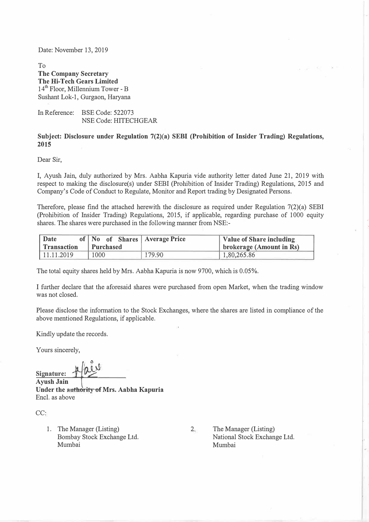Date: November 13, 2019

To **The Company Secretary The Hi-Tech Gears Limited**  14<sup>th</sup> Floor, Millennium Tower - B Sushant Lok-1, Gurgaon, Haryana

In Reference: BSE Code: 522073 NSE Code: HITECHGEAR

#### **Subject: Disclosure under Regulation 7(2)(a) SEBI (Prohibition of Insider Trading) Regulations, 2015**

Dear Sir,

I, Ayush Jain, duly authorized by Mrs. Aabha Kapuria vide authority letter dated June 21, 2019 with respect to making the disclosure(s) under SEBI (Prohibition of Insider Trading) Regulations, 2015 and Company's Code of Conduct to Regulate, Monitor and Report trading by Designated Persons.

Therefore, please find the attached herewith the disclosure as required under Regulation 7(2)(a) SEBI (Prohibition of Insider Trading) Regulations, 2015, if applicable, regarding purchase of 1000 equity shares. The shares were purchased in the following manner from NSE:-

| Date        | of No of Shares Average Price |        | Value of Share including |  |  |  |  |
|-------------|-------------------------------|--------|--------------------------|--|--|--|--|
| Transaction | Purchased                     |        | brokerage (Amount in Rs) |  |  |  |  |
| 11.11.2019  | 1000                          | 179.90 | 1,80,265.86              |  |  |  |  |

The total equity shares held by Mrs. Aabha Kapuria is now 9700, which is 0.05%.

I further declare that the aforesaid shares were purchased from open Market, when the trading window was not closed.

Please disclose the information to the Stock Exchanges, where the shares are listed in compliance of the above mentioned Regulations, if applicable.

Kindly update the records.

Yours sincerely,

Signature: **Pail** 

�� **Ayush Jain Under the authority of Mrs. Aabha Kapuria**  Encl. as above

CC:

1. The Manager (Listing) Bombay Stock Exchange Ltd. Mumbai

2. The Manager (Listing) National Stock Exchange Ltd. Mumbai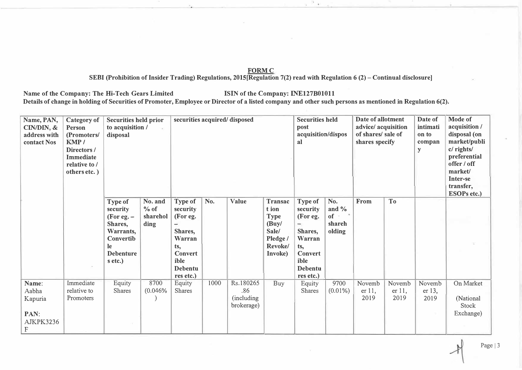#### **FORMC**

**SEBI (Prohibition of Insider Trading) Regulations, 2015[Regulation 7(2) read with Regulation 6 (2) -Continual disclosure]** 

Name of the Company: The Hi-Tech Gears Limited **ISIN** of the Company: INE127B01011 Details of change in holding of Securities of Promoter, Employee or Director of a listed company and other such persons as mentioned in Regulation 6(2).

| Name, PAN,<br>$CIN/DDN, \&$<br>address with<br>contact Nos | Category of<br><b>Person</b><br>(Promoters/<br>KMP/<br>Directors/<br><b>Immediate</b><br>relative to /<br>others etc.) | <b>Securities held prior</b><br>to acquisition /<br>disposal                                                  |                                     | securities acquired/disposed                                                                                         |      |                                                      |                                                                                     | <b>Securities held</b><br>post<br>acquisition/dispos<br>al                                                                                |                                           | Date of allotment<br>advice/ acquisition<br>of shares/ sale of<br>shares specify |                             | Date of<br>intimati<br>on to<br>compan<br>y | Mode of<br>acquisition /<br>disposal (on<br>market/publi<br>c/ rights/<br>preferential<br>offer / off<br>market/<br>Inter-se<br>transfer,<br><b>ESOPs etc.)</b> |
|------------------------------------------------------------|------------------------------------------------------------------------------------------------------------------------|---------------------------------------------------------------------------------------------------------------|-------------------------------------|----------------------------------------------------------------------------------------------------------------------|------|------------------------------------------------------|-------------------------------------------------------------------------------------|-------------------------------------------------------------------------------------------------------------------------------------------|-------------------------------------------|----------------------------------------------------------------------------------|-----------------------------|---------------------------------------------|-----------------------------------------------------------------------------------------------------------------------------------------------------------------|
|                                                            |                                                                                                                        | Type of<br>security<br>(For eg. $-$<br>Shares,<br>Warrants,<br>Convertib<br>le<br><b>Debenture</b><br>s etc.) | No. and<br>% of<br>sharehol<br>ding | Type of<br>security<br>(For eg.<br>Shares,<br>Warran<br>ts,<br><b>Convert</b><br>ible<br><b>Debentu</b><br>res etc.) | No.  | Value                                                | Transac<br>t ion<br><b>Type</b><br>(Buy/<br>Sale/<br>Pledge /<br>Revoke/<br>Invoke) | Type of<br>security<br>(For eg.<br>$\overline{\phantom{0}}$<br>Shares,<br>Warran<br>ts,<br><b>Convert</b><br>ible<br>Debentu<br>res etc.) | No.<br>and $\%$<br>of<br>shareh<br>olding | From                                                                             | T <sub>o</sub>              |                                             |                                                                                                                                                                 |
| Name:<br>Aabha<br>Kapuria<br>PAN:<br>AJKPK3236<br>F        | Immediate<br>relative to<br>Promoters                                                                                  | Equity<br>Shares                                                                                              | 8700<br>(0.046%                     | Equity<br><b>Shares</b>                                                                                              | 1000 | Rs.180265<br>.86<br><i>(including)</i><br>brokerage) | Buy                                                                                 | Equity<br>Shares                                                                                                                          | 9700<br>$(0.01\%)$                        | Novemb<br>er 11,<br>2019                                                         | Novemb<br>$er 11$ ,<br>2019 | Novemb<br>$er 13$ ,<br>2019                 | On Market<br>(National<br>Stock<br>Exchange)                                                                                                                    |

**Page 13**